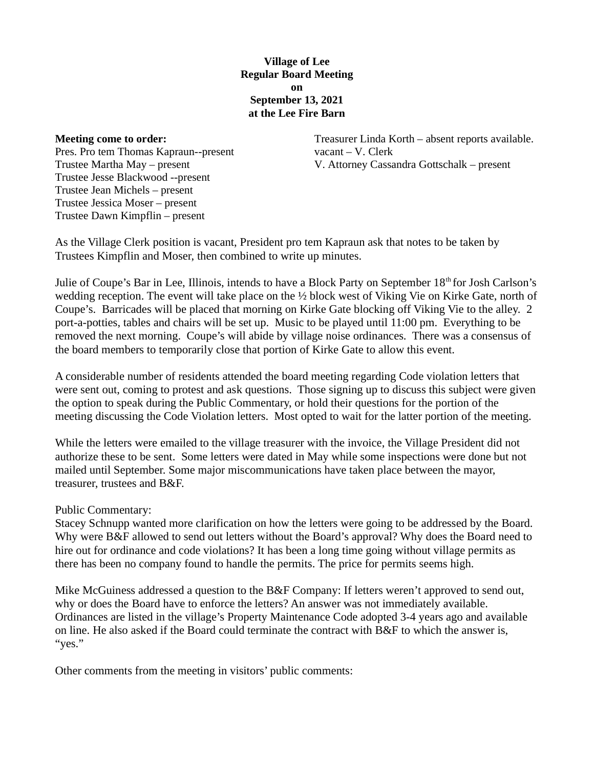## Village of Lee Regular Board Meeting on September 13, 2021 at the Lee Fire Barn

#### Meeting come to order:

Pres. Pro tem Thomas Kapraun--present Trustee Martha May – present Trustee Jesse Blackwood --present Trustee Jean Michels – present Trustee Jessica Moser – present Trustee Dawn Kimpflin – present

Treasurer Linda Korth – absent reports available. vacant – V. Clerk V. Attorney Cassandra Gottschalk – present

As the Village Clerk position is vacant, President pro tem Kapraun ask that notes to be taken by Trustees Kimpflin and Moser, then combined to write up minutes.

Julie of Coupe's Bar in Lee, Illinois, intends to have a Block Party on September 18<sup>th</sup> for Josh Carlson's wedding reception. The event will take place on the ½ block west of Viking Vie on Kirke Gate, north of Coupe's. Barricades will be placed that morning on Kirke Gate blocking off Viking Vie to the alley. 2 port-a-potties, tables and chairs will be set up. Music to be played until 11:00 pm. Everything to be removed the next morning. Coupe's will abide by village noise ordinances. There was a consensus of the board members to temporarily close that portion of Kirke Gate to allow this event.

A considerable number of residents attended the board meeting regarding Code violation letters that were sent out, coming to protest and ask questions. Those signing up to discuss this subject were given the option to speak during the Public Commentary, or hold their questions for the portion of the meeting discussing the Code Violation letters. Most opted to wait for the latter portion of the meeting.

While the letters were emailed to the village treasurer with the invoice, the Village President did not authorize these to be sent. Some letters were dated in May while some inspections were done but not mailed until September. Some major miscommunications have taken place between the mayor, treasurer, trustees and B&F.

## Public Commentary:

Stacey Schnupp wanted more clarification on how the letters were going to be addressed by the Board. Why were B&F allowed to send out letters without the Board's approval? Why does the Board need to hire out for ordinance and code violations? It has been a long time going without village permits as there has been no company found to handle the permits. The price for permits seems high.

Mike McGuiness addressed a question to the B&F Company: If letters weren't approved to send out, why or does the Board have to enforce the letters? An answer was not immediately available. Ordinances are listed in the village's Property Maintenance Code adopted 3-4 years ago and available on line. He also asked if the Board could terminate the contract with B&F to which the answer is, "yes."

Other comments from the meeting in visitors' public comments: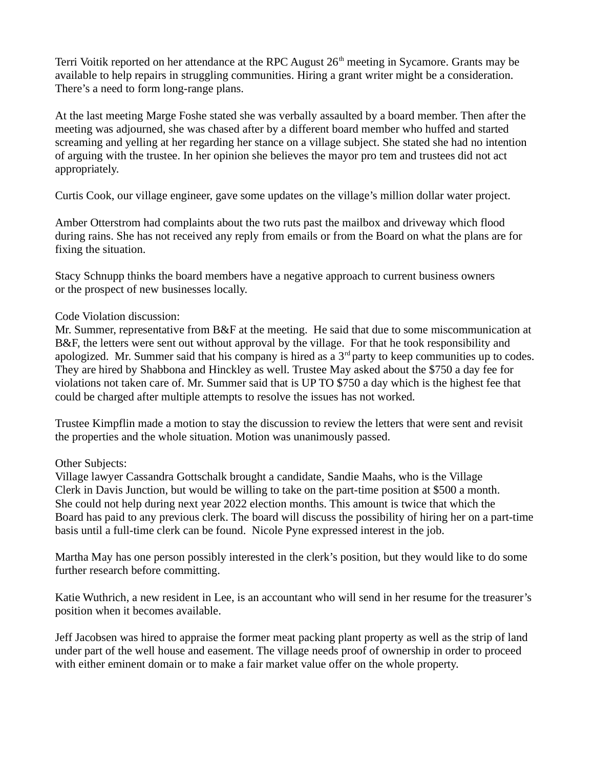Terri Voitik reported on her attendance at the RPC August 26<sup>th</sup> meeting in Sycamore. Grants may be available to help repairs in struggling communities. Hiring a grant writer might be a consideration. There's a need to form long-range plans.

At the last meeting Marge Foshe stated she was verbally assaulted by a board member. Then after the meeting was adjourned, she was chased after by a different board member who huffed and started screaming and yelling at her regarding her stance on a village subject. She stated she had no intention of arguing with the trustee. In her opinion she believes the mayor pro tem and trustees did not act appropriately.

Curtis Cook, our village engineer, gave some updates on the village's million dollar water project.

Amber Otterstrom had complaints about the two ruts past the mailbox and driveway which flood during rains. She has not received any reply from emails or from the Board on what the plans are for fixing the situation.

Stacy Schnupp thinks the board members have a negative approach to current business owners or the prospect of new businesses locally.

## Code Violation discussion:

Mr. Summer, representative from B&F at the meeting. He said that due to some miscommunication at B&F, the letters were sent out without approval by the village. For that he took responsibility and apologized. Mr. Summer said that his company is hired as a  $3<sup>rd</sup>$  party to keep communities up to codes. They are hired by Shabbona and Hinckley as well. Trustee May asked about the \$750 a day fee for violations not taken care of. Mr. Summer said that is UP TO \$750 a day which is the highest fee that could be charged after multiple attempts to resolve the issues has not worked.

Trustee Kimpflin made a motion to stay the discussion to review the letters that were sent and revisit the properties and the whole situation. Motion was unanimously passed.

# Other Subjects:

Village lawyer Cassandra Gottschalk brought a candidate, Sandie Maahs, who is the Village Clerk in Davis Junction, but would be willing to take on the part-time position at \$500 a month. She could not help during next year 2022 election months. This amount is twice that which the Board has paid to any previous clerk. The board will discuss the possibility of hiring her on a part-time basis until a full-time clerk can be found. Nicole Pyne expressed interest in the job.

Martha May has one person possibly interested in the clerk's position, but they would like to do some further research before committing.

Katie Wuthrich, a new resident in Lee, is an accountant who will send in her resume for the treasurer's position when it becomes available.

Jeff Jacobsen was hired to appraise the former meat packing plant property as well as the strip of land under part of the well house and easement. The village needs proof of ownership in order to proceed with either eminent domain or to make a fair market value offer on the whole property.